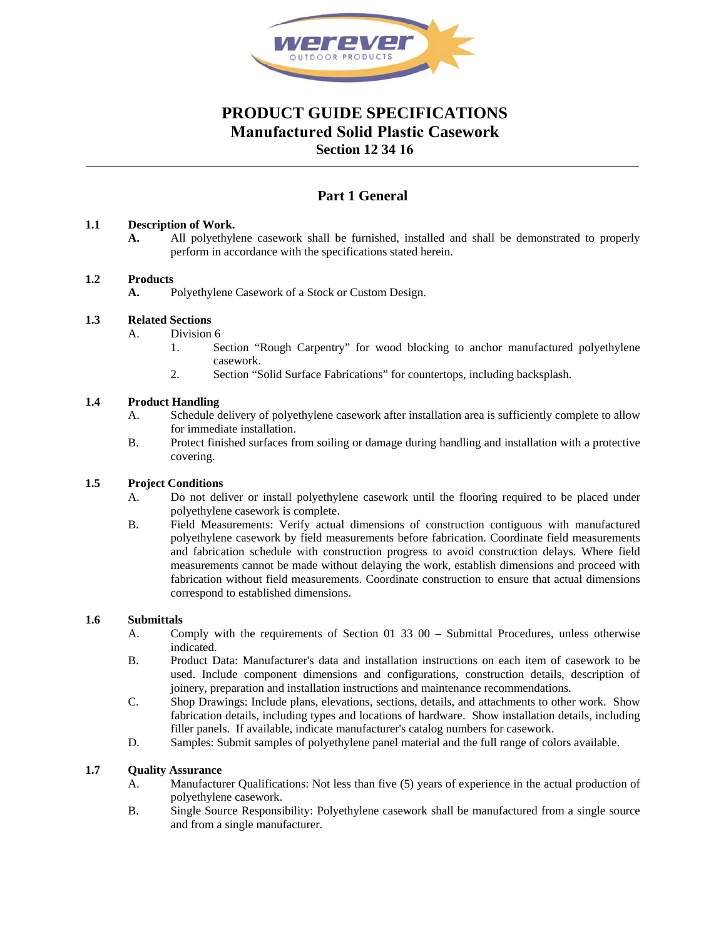

# **PRODUCT GUIDE SPECIFICATIONS Manufactured Solid Plastic Casework**

**Section 12 34 16**

## **Part 1 General**

## **1.1 Description of Work.**

**A.** All polyethylene casework shall be furnished, installed and shall be demonstrated to properly perform in accordance with the specifications stated herein.

## **1.2 Products**

**A.** Polyethylene Casework of a Stock or Custom Design.

## **1.3 Related Sections**

- A. Division 6
	- 1. Section "Rough Carpentry" for wood blocking to anchor manufactured polyethylene casework.
	- 2. Section "Solid Surface Fabrications" for countertops, including backsplash.

## **1.4 Product Handling**

- A. Schedule delivery of polyethylene casework after installation area is sufficiently complete to allow for immediate installation.
- B. Protect finished surfaces from soiling or damage during handling and installation with a protective covering.

## **1.5 Project Conditions**

- A. Do not deliver or install polyethylene casework until the flooring required to be placed under polyethylene casework is complete.
- B. Field Measurements: Verify actual dimensions of construction contiguous with manufactured polyethylene casework by field measurements before fabrication. Coordinate field measurements and fabrication schedule with construction progress to avoid construction delays. Where field measurements cannot be made without delaying the work, establish dimensions and proceed with fabrication without field measurements. Coordinate construction to ensure that actual dimensions correspond to established dimensions.

## **1.6 Submittals**

- A. Comply with the requirements of Section 01 33 00 Submittal Procedures, unless otherwise indicated.
- B. Product Data: Manufacturer's data and installation instructions on each item of casework to be used. Include component dimensions and configurations, construction details, description of joinery, preparation and installation instructions and maintenance recommendations.
- C. Shop Drawings: Include plans, elevations, sections, details, and attachments to other work. Show fabrication details, including types and locations of hardware. Show installation details, including filler panels. If available, indicate manufacturer's catalog numbers for casework.
- D. Samples: Submit samples of polyethylene panel material and the full range of colors available.

## **1.7 Quality Assurance**

- A. Manufacturer Qualifications: Not less than five (5) years of experience in the actual production of polyethylene casework.
- B. Single Source Responsibility: Polyethylene casework shall be manufactured from a single source and from a single manufacturer.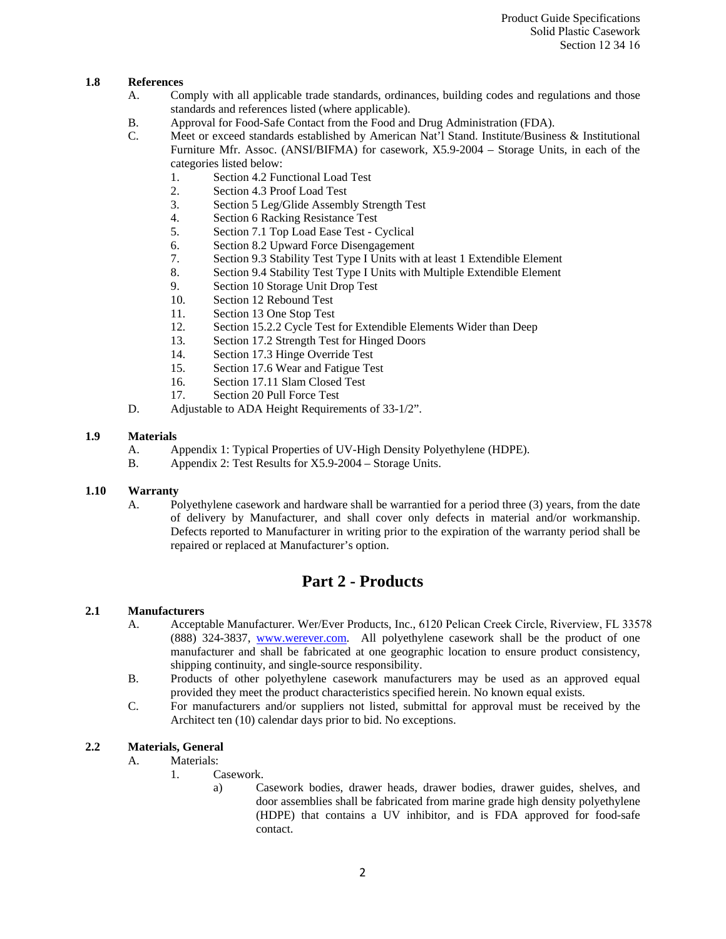## **1.8 References**

- A. Comply with all applicable trade standards, ordinances, building codes and regulations and those standards and references listed (where applicable).
- B. Approval for Food-Safe Contact from the Food and Drug Administration (FDA).<br>C. Meet or exceed standards established by American Nat'l Stand. Institute/Busine
- Meet or exceed standards established by American Nat'l Stand. Institute/Business & Institutional Furniture Mfr. Assoc. (ANSI/BIFMA) for casework, X5.9-2004 – Storage Units, in each of the categories listed below:
	- 1. Section 4.2 Functional Load Test
	- 2. Section 4.3 Proof Load Test
	- 3. Section 5 Leg/Glide Assembly Strength Test
	- 4. Section 6 Racking Resistance Test
	- 5. Section 7.1 Top Load Ease Test Cyclical
	- 6. Section 8.2 Upward Force Disengagement
	- 7. Section 9.3 Stability Test Type I Units with at least 1 Extendible Element
	- 8. Section 9.4 Stability Test Type I Units with Multiple Extendible Element
	- 9. Section 10 Storage Unit Drop Test
	- 10. Section 12 Rebound Test
	- 11. Section 13 One Stop Test
	- 12. Section 15.2.2 Cycle Test for Extendible Elements Wider than Deep
	- 13. Section 17.2 Strength Test for Hinged Doors
	- 14. Section 17.3 Hinge Override Test
	- 15. Section 17.6 Wear and Fatigue Test
	- 16. Section 17.11 Slam Closed Test
	- 17. Section 20 Pull Force Test
- D. Adjustable to ADA Height Requirements of 33-1/2".

#### **1.9 Materials**

- A. Appendix 1: Typical Properties of UV-High Density Polyethylene (HDPE).
- B. Appendix 2: Test Results for X5.9-2004 Storage Units.

## **1.10 Warranty**

A. Polyethylene casework and hardware shall be warrantied for a period three (3) years, from the date of delivery by Manufacturer, and shall cover only defects in material and/or workmanship. Defects reported to Manufacturer in writing prior to the expiration of the warranty period shall be repaired or replaced at Manufacturer's option.

## **Part 2 - Products**

#### **2.1 Manufacturers**

- A. Acceptable Manufacturer. Wer/Ever Products, Inc., 6120 Pelican Creek Circle, Riverview, FL 33578 (888) 324-3837, www.werever.com. All polyethylene casework shall be the product of one manufacturer and shall be fabricated at one geographic location to ensure product consistency, shipping continuity, and single-source responsibility.
- B. Products of other polyethylene casework manufacturers may be used as an approved equal provided they meet the product characteristics specified herein. No known equal exists.
- C. For manufacturers and/or suppliers not listed, submittal for approval must be received by the Architect ten (10) calendar days prior to bid. No exceptions.

## **2.2 Materials, General**

- A. Materials:
	- 1. Casework.
		- a) Casework bodies, drawer heads, drawer bodies, drawer guides, shelves, and door assemblies shall be fabricated from marine grade high density polyethylene (HDPE) that contains a UV inhibitor, and is FDA approved for food-safe contact.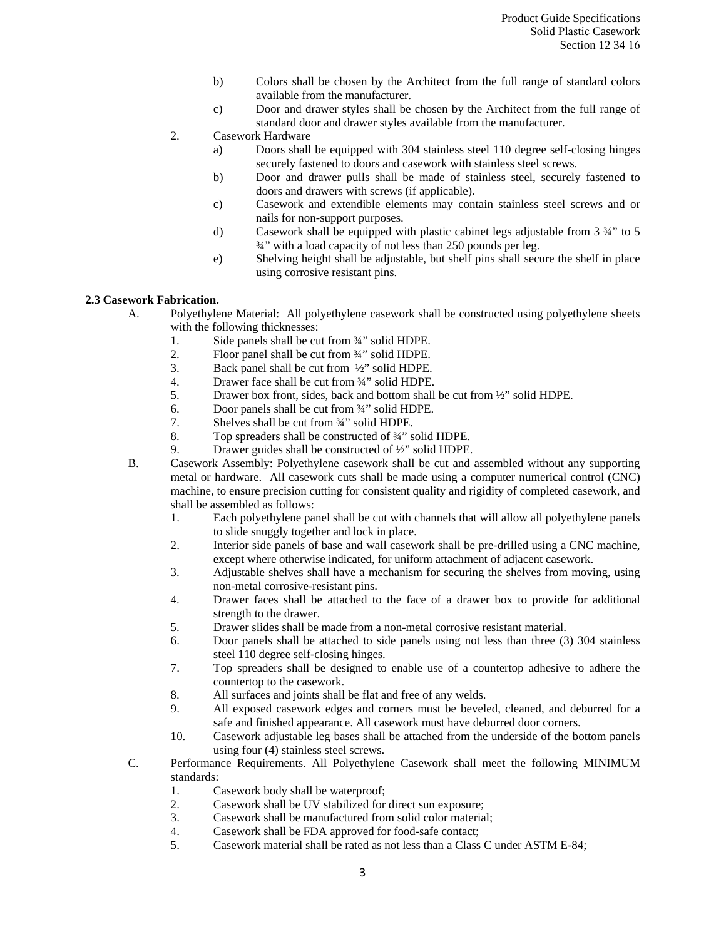- b) Colors shall be chosen by the Architect from the full range of standard colors available from the manufacturer.
- c) Door and drawer styles shall be chosen by the Architect from the full range of standard door and drawer styles available from the manufacturer.
- 2. Casework Hardware
	- a) Doors shall be equipped with 304 stainless steel 110 degree self-closing hinges securely fastened to doors and casework with stainless steel screws.
	- b) Door and drawer pulls shall be made of stainless steel, securely fastened to doors and drawers with screws (if applicable).
	- c) Casework and extendible elements may contain stainless steel screws and or nails for non-support purposes.
	- d) Casework shall be equipped with plastic cabinet legs adjustable from 3 ¾" to 5 ¾" with a load capacity of not less than 250 pounds per leg.
	- e) Shelving height shall be adjustable, but shelf pins shall secure the shelf in place using corrosive resistant pins.

## **2.3 Casework Fabrication.**

- A. Polyethylene Material: All polyethylene casework shall be constructed using polyethylene sheets with the following thicknesses:
	- 1. Side panels shall be cut from ¾" solid HDPE.
	- 2. Floor panel shall be cut from  $\frac{3}{4}$ " solid HDPE.<br>3. Back panel shall be cut from  $\frac{1}{2}$ " solid HDPE.
	- Back panel shall be cut from  $\frac{1}{2}$ " solid HDPE.
	- 4. Drawer face shall be cut from ¾" solid HDPE.
	- 5. Drawer box front, sides, back and bottom shall be cut from ½" solid HDPE.
	- 6. Door panels shall be cut from ¾" solid HDPE.
	- 7. Shelves shall be cut from ¾" solid HDPE.
	- 8. Top spreaders shall be constructed of 3/4" solid HDPE.
	- 9. Drawer guides shall be constructed of <sup>1</sup>/<sub>2</sub>" solid HDPE.
- B. Casework Assembly: Polyethylene casework shall be cut and assembled without any supporting metal or hardware. All casework cuts shall be made using a computer numerical control (CNC) machine, to ensure precision cutting for consistent quality and rigidity of completed casework, and shall be assembled as follows:
	- 1. Each polyethylene panel shall be cut with channels that will allow all polyethylene panels to slide snuggly together and lock in place.
	- 2. Interior side panels of base and wall casework shall be pre-drilled using a CNC machine, except where otherwise indicated, for uniform attachment of adjacent casework.
	- 3. Adjustable shelves shall have a mechanism for securing the shelves from moving, using non-metal corrosive-resistant pins.
	- 4. Drawer faces shall be attached to the face of a drawer box to provide for additional strength to the drawer.
	- 5. Drawer slides shall be made from a non-metal corrosive resistant material.
	- 6. Door panels shall be attached to side panels using not less than three (3) 304 stainless steel 110 degree self-closing hinges.
	- 7. Top spreaders shall be designed to enable use of a countertop adhesive to adhere the countertop to the casework.
	- 8. All surfaces and joints shall be flat and free of any welds.
	- 9. All exposed casework edges and corners must be beveled, cleaned, and deburred for a safe and finished appearance. All casework must have deburred door corners.
	- 10. Casework adjustable leg bases shall be attached from the underside of the bottom panels using four (4) stainless steel screws.
- C. Performance Requirements. All Polyethylene Casework shall meet the following MINIMUM standards:
	- 1. Casework body shall be waterproof;
	- 2. Casework shall be UV stabilized for direct sun exposure;
	- 3. Casework shall be manufactured from solid color material;
	- 4. Casework shall be FDA approved for food-safe contact;
	- 5. Casework material shall be rated as not less than a Class C under ASTM E-84;